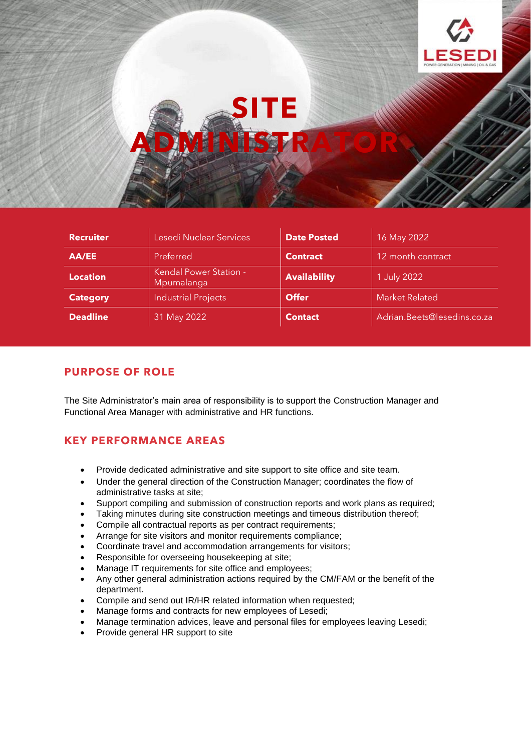



| <b>Recruiter</b> | Lesedi Nuclear Services              | <b>Date Posted</b>  | 16 May 2022                 |
|------------------|--------------------------------------|---------------------|-----------------------------|
| AA/EE            | Preferred                            | <b>Contract</b>     | 12 month contract           |
| <b>Location</b>  | Kendal Power Station -<br>Mpumalanga | <b>Availability</b> | 1 July 2022                 |
| <b>Category</b>  | <b>Industrial Projects</b>           | <b>Offer</b>        | <b>Market Related</b>       |
| <b>Deadline</b>  | 31 May 2022                          | <b>Contact</b>      | Adrian.Beets@lesedins.co.za |

### **PURPOSE OF ROLE**

The Site Administrator's main area of responsibility is to support the Construction Manager and Functional Area Manager with administrative and HR functions.

### **KEY PERFORMANCE AREAS**

- Provide dedicated administrative and site support to site office and site team.
- Under the general direction of the Construction Manager; coordinates the flow of administrative tasks at site;
- Support compiling and submission of construction reports and work plans as required;
- Taking minutes during site construction meetings and timeous distribution thereof;
- Compile all contractual reports as per contract requirements;
- Arrange for site visitors and monitor requirements compliance;
- Coordinate travel and accommodation arrangements for visitors;
- Responsible for overseeing housekeeping at site;
- Manage IT requirements for site office and employees;
- Any other general administration actions required by the CM/FAM or the benefit of the department.
- Compile and send out IR/HR related information when requested;
- Manage forms and contracts for new employees of Lesedi;
- Manage termination advices, leave and personal files for employees leaving Lesedi;
- Provide general HR support to site